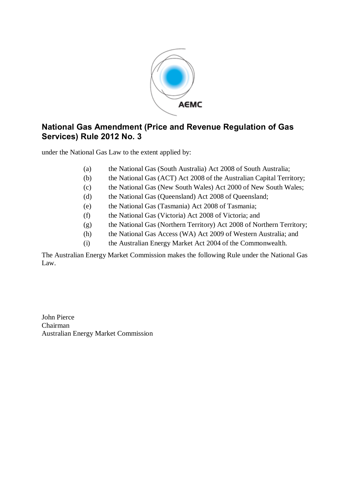

# **National Gas Amendment (Price and Revenue Regulation of Gas Services) Rule 2012 No. 3**

under the National Gas Law to the extent applied by:

- (a) the National Gas (South Australia) Act 2008 of South Australia;
- (b) the National Gas (ACT) Act 2008 of the Australian Capital Territory;
- (c) the National Gas (New South Wales) Act 2000 of New South Wales;
- (d) the National Gas (Queensland) Act 2008 of Queensland;
- (e) the National Gas (Tasmania) Act 2008 of Tasmania;
- (f) the National Gas (Victoria) Act 2008 of Victoria; and
- (g) the National Gas (Northern Territory) Act 2008 of Northern Territory;
- (h) the National Gas Access (WA) Act 2009 of Western Australia; and
- (i) the Australian Energy Market Act 2004 of the Commonwealth.

The Australian Energy Market Commission makes the following Rule under the National Gas Law.

John Pierce Chairman Australian Energy Market Commission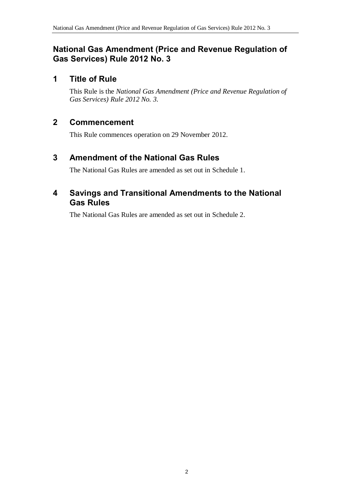# **National Gas Amendment (Price and Revenue Regulation of Gas Services) Rule 2012 No. 3**

# **1 Title of Rule**

This Rule is the *National Gas Amendment (Price and Revenue Regulation of Gas Services) Rule 2012 No. 3*.

# **2 Commencement**

This Rule commences operation on 29 November 2012.

# <span id="page-1-0"></span>**3 Amendment of the National Gas Rules**

The National Gas Rules are amended as set out in [Schedule 1.](#page-2-0)

### **4 Savings and Transitional Amendments to the National Gas Rules**

The National Gas Rules are amended as set out in [Schedule 2.](#page-8-0)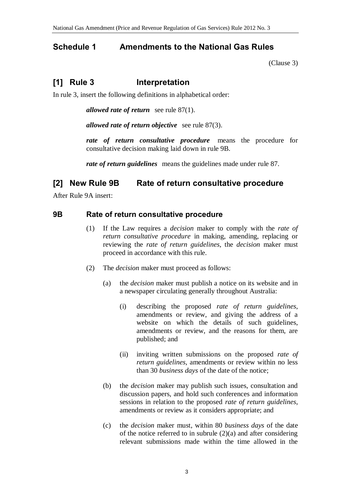## <span id="page-2-0"></span>**Schedule 1 Amendments to the National Gas Rules**

[\(Clause](#page-1-0) 3)

# **[1] Rule 3 Interpretation**

In rule 3, insert the following definitions in alphabetical order:

*allowed rate of return* see rule 87(1).

*allowed rate of return objective* see rule 87(3).

*rate of return consultative procedure* means the procedure for consultative decision making laid down in rule 9B.

*rate of return guidelines* means the guidelines made under rule 87.

### **[2] New Rule 9B Rate of return consultative procedure**

After Rule 9A insert:

### **9B Rate of return consultative procedure**

- (1) If the Law requires a *decision* maker to comply with the *rate of return consultative procedure* in making, amending, replacing or reviewing the *rate of return guidelines*, the *decision* maker must proceed in accordance with this rule.
- (2) The *decision* maker must proceed as follows:
	- (a) the *decision* maker must publish a notice on its website and in a newspaper circulating generally throughout Australia:
		- (i) describing the proposed *rate of return guidelines*, amendments or review, and giving the address of a website on which the details of such guidelines, amendments or review, and the reasons for them, are published; and
		- (ii) inviting written submissions on the proposed *rate of return guidelines*, amendments or review within no less than 30 *business days* of the date of the notice;
	- (b) the *decision* maker may publish such issues, consultation and discussion papers, and hold such conferences and information sessions in relation to the proposed *rate of return guidelines*, amendments or review as it considers appropriate; and
	- (c) the *decision* maker must, within 80 *business days* of the date of the notice referred to in subrule  $(2)(a)$  and after considering relevant submissions made within the time allowed in the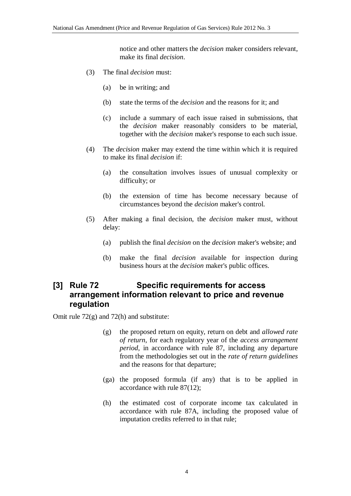notice and other matters the *decision* maker considers relevant, make its final *decision*.

- (3) The final *decision* must:
	- (a) be in writing; and
	- (b) state the terms of the *decision* and the reasons for it; and
	- (c) include a summary of each issue raised in submissions, that the *decision* maker reasonably considers to be material, together with the *decision* maker's response to each such issue.
- (4) The *decision* maker may extend the time within which it is required to make its final *decision* if:
	- (a) the consultation involves issues of unusual complexity or difficulty; or
	- (b) the extension of time has become necessary because of circumstances beyond the *decision* maker's control.
- (5) After making a final decision, the *decision* maker must, without delay:
	- (a) publish the final *decision* on the *decision* maker's website; and
	- (b) make the final *decision* available for inspection during business hours at the *decision* maker's public offices.

## **[3] Rule 72 Specific requirements for access arrangement information relevant to price and revenue regulation**

Omit rule 72(g) and 72(h) and substitute:

- (g) the proposed return on equity, return on debt and *allowed rate of return*, for each regulatory year of the *access arrangement period*, in accordance with rule 87, including any departure from the methodologies set out in the *rate of return guidelines* and the reasons for that departure;
- (ga) the proposed formula (if any) that is to be applied in accordance with rule 87(12);
- (h) the estimated cost of corporate income tax calculated in accordance with rule 87A, including the proposed value of imputation credits referred to in that rule;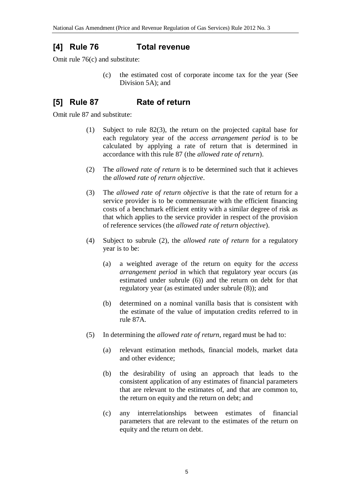## **[4] Rule 76 Total revenue**

Omit rule 76(c) and substitute:

(c) the estimated cost of corporate income tax for the year (See Division 5A); and

# **[5] Rule 87 Rate of return**

Omit rule 87 and substitute:

- (1) Subject to rule 82(3), the return on the projected capital base for each regulatory year of the *access arrangement period* is to be calculated by applying a rate of return that is determined in accordance with this rule 87 (the *allowed rate of return*).
- (2) The *allowed rate of return* is to be determined such that it achieves the *allowed rate of return objective*.
- (3) The *allowed rate of return objective* is that the rate of return for a service provider is to be commensurate with the efficient financing costs of a benchmark efficient entity with a similar degree of risk as that which applies to the service provider in respect of the provision of reference services (the *allowed rate of return objective*).
- (4) Subject to subrule (2), the *allowed rate of return* for a regulatory year is to be:
	- (a) a weighted average of the return on equity for the *access arrangement period* in which that regulatory year occurs (as estimated under subrule (6)) and the return on debt for that regulatory year (as estimated under subrule (8)); and
	- (b) determined on a nominal vanilla basis that is consistent with the estimate of the value of imputation credits referred to in rule 87A.
- (5) In determining the *allowed rate of return*, regard must be had to:
	- (a) relevant estimation methods, financial models, market data and other evidence;
	- (b) the desirability of using an approach that leads to the consistent application of any estimates of financial parameters that are relevant to the estimates of, and that are common to, the return on equity and the return on debt; and
	- (c) any interrelationships between estimates of financial parameters that are relevant to the estimates of the return on equity and the return on debt.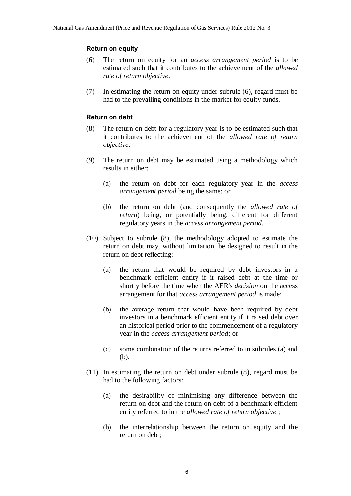#### **Return on equity**

- (6) The return on equity for an *access arrangement period* is to be estimated such that it contributes to the achievement of the *allowed rate of return objective*.
- (7) In estimating the return on equity under subrule (6), regard must be had to the prevailing conditions in the market for equity funds.

#### **Return on debt**

- (8) The return on debt for a regulatory year is to be estimated such that it contributes to the achievement of the *allowed rate of return objective*.
- (9) The return on debt may be estimated using a methodology which results in either:
	- (a) the return on debt for each regulatory year in the *access arrangement period* being the same; or
	- (b) the return on debt (and consequently the *allowed rate of return*) being, or potentially being, different for different regulatory years in the *access arrangement period*.
- (10) Subject to subrule (8), the methodology adopted to estimate the return on debt may, without limitation, be designed to result in the return on debt reflecting:
	- (a) the return that would be required by debt investors in a benchmark efficient entity if it raised debt at the time or shortly before the time when the AER's *decision* on the access arrangement for that *access arrangement period* is made;
	- (b) the average return that would have been required by debt investors in a benchmark efficient entity if it raised debt over an historical period prior to the commencement of a regulatory year in the *access arrangement period*; or
	- (c) some combination of the returns referred to in subrules (a) and (b).
- (11) In estimating the return on debt under subrule (8), regard must be had to the following factors:
	- (a) the desirability of minimising any difference between the return on debt and the return on debt of a benchmark efficient entity referred to in the *allowed rate of return objective* ;
	- (b) the interrelationship between the return on equity and the return on debt;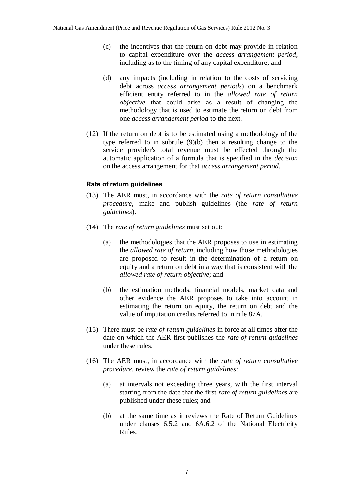- (c) the incentives that the return on debt may provide in relation to capital expenditure over the *access arrangement period*, including as to the timing of any capital expenditure; and
- (d) any impacts (including in relation to the costs of servicing debt across *access arrangement periods*) on a benchmark efficient entity referred to in the *allowed rate of return objective* that could arise as a result of changing the methodology that is used to estimate the return on debt from one *access arrangement period* to the next.
- (12) If the return on debt is to be estimated using a methodology of the type referred to in subrule (9)(b) then a resulting change to the service provider's total revenue must be effected through the automatic application of a formula that is specified in the *decision* on the access arrangement for that *access arrangement period*.

### **Rate of return guidelines**

- (13) The AER must, in accordance with the *rate of return consultative procedure*, make and publish guidelines (the *rate of return guidelines*).
- (14) The *rate of return guidelines* must set out:
	- (a) the methodologies that the AER proposes to use in estimating the *allowed rate of return*, including how those methodologies are proposed to result in the determination of a return on equity and a return on debt in a way that is consistent with the *allowed rate of return objective*; and
	- (b) the estimation methods, financial models, market data and other evidence the AER proposes to take into account in estimating the return on equity, the return on debt and the value of imputation credits referred to in rule 87A.
- (15) There must be *rate of return guidelines* in force at all times after the date on which the AER first publishes the *rate of return guidelines* under these rules.
- (16) The AER must, in accordance with the *rate of return consultative procedure*, review the *rate of return guidelines*:
	- (a) at intervals not exceeding three years, with the first interval starting from the date that the first *rate of return guidelines* are published under these rules; and
	- (b) at the same time as it reviews the Rate of Return Guidelines under clauses 6.5.2 and 6A.6.2 of the National Electricity Rules.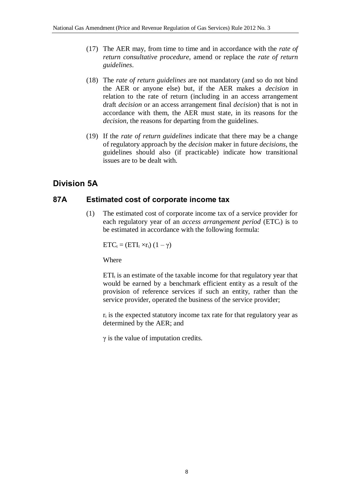- (17) The AER may, from time to time and in accordance with the *rate of return consultative procedure*, amend or replace the *rate of return guidelines*.
- (18) The *rate of return guidelines* are not mandatory (and so do not bind the AER or anyone else) but, if the AER makes a *decision* in relation to the rate of return (including in an access arrangement draft *decision* or an access arrangement final *decision*) that is not in accordance with them, the AER must state, in its reasons for the *decision*, the reasons for departing from the guidelines.
- (19) If the *rate of return guidelines* indicate that there may be a change of regulatory approach by the *decision* maker in future *decisions*, the guidelines should also (if practicable) indicate how transitional issues are to be dealt with.

# **Division 5A**

### **87A Estimated cost of corporate income tax**

(1) The estimated cost of corporate income tax of a service provider for each regulatory year of an *access arrangement period* (ETC<sub>t</sub>) is to be estimated in accordance with the following formula:

 $ETC_t = (ETI_t \times r_t) (1 - \gamma)$ 

Where

 $ETI<sub>t</sub>$  is an estimate of the taxable income for that regulatory year that would be earned by a benchmark efficient entity as a result of the provision of reference services if such an entity, rather than the service provider, operated the business of the service provider;

 $r_t$  is the expected statutory income tax rate for that regulatory year as determined by the AER; and

 $\gamma$  is the value of imputation credits.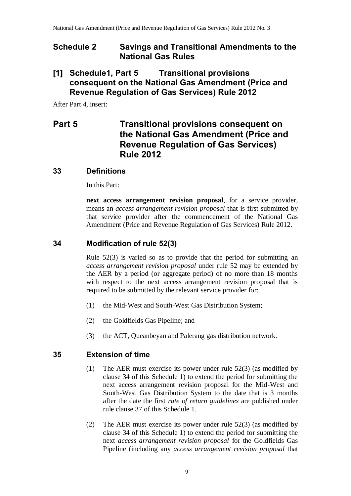### <span id="page-8-0"></span>**Schedule 2 Savings and Transitional Amendments to the National Gas Rules**

## **[1] Schedule1, Part 5 Transitional provisions consequent on the National Gas Amendment (Price and Revenue Regulation of Gas Services) Rule 2012**

After Part 4, insert:

# **Part 5 Transitional provisions consequent on the National Gas Amendment (Price and Revenue Regulation of Gas Services) Rule 2012**

### **33 Definitions**

In this Part:

**next access arrangement revision proposal**, for a service provider, means an *access arrangement revision proposal* that is first submitted by that service provider after the commencement of the National Gas Amendment (Price and Revenue Regulation of Gas Services) Rule 2012.

### **34 Modification of rule 52(3)**

Rule 52(3) is varied so as to provide that the period for submitting an *access arrangement revision proposal* under rule 52 may be extended by the AER by a period (or aggregate period) of no more than 18 months with respect to the next access arrangement revision proposal that is required to be submitted by the relevant service provider for:

- (1) the Mid-West and South-West Gas Distribution System;
- (2) the Goldfields Gas Pipeline; and
- (3) the ACT, Queanbeyan and Palerang gas distribution network.

### **35 Extension of time**

- (1) The AER must exercise its power under rule 52(3) (as modified by clause 34 of this Schedule 1) to extend the period for submitting the next access arrangement revision proposal for the Mid-West and South-West Gas Distribution System to the date that is 3 months after the date the first *rate of return guidelines* are published under rule clause 37 of this Schedule 1.
- (2) The AER must exercise its power under rule 52(3) (as modified by clause 34 of this Schedule 1) to extend the period for submitting the next *access arrangement revision proposal* for the Goldfields Gas Pipeline (including any *access arrangement revision proposal* that